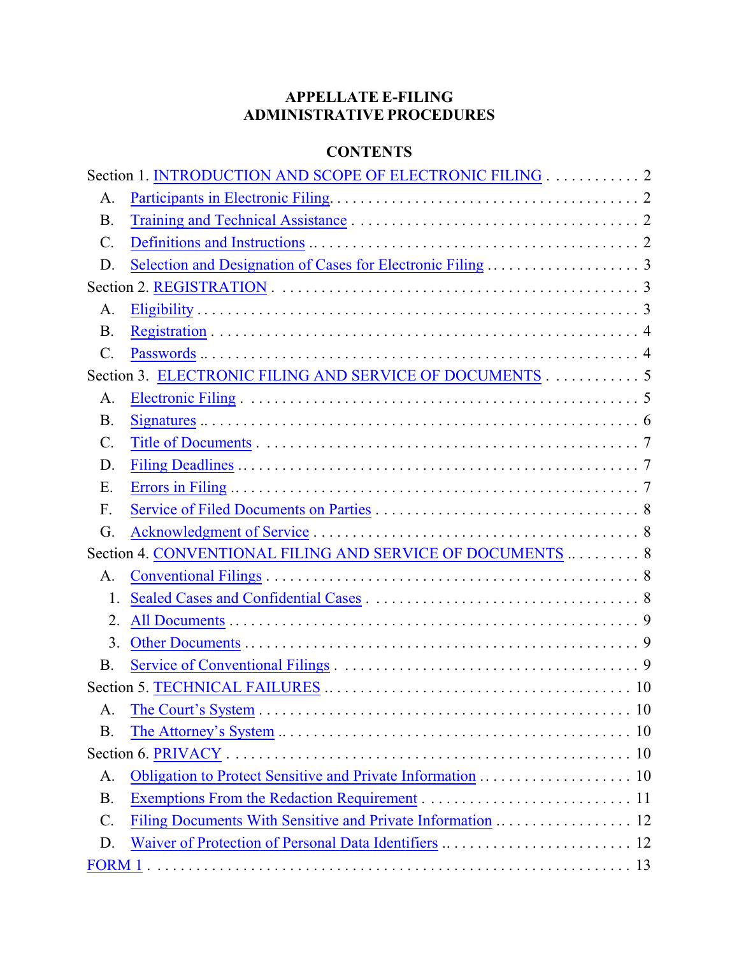# **APPELLATE E-FILING ADMINISTRATIVE PROCEDURES**

## **CONTENTS**

|                 | Section 1. INTRODUCTION AND SCOPE OF ELECTRONIC FILING 2   |  |
|-----------------|------------------------------------------------------------|--|
| A.              |                                                            |  |
| <b>B.</b>       |                                                            |  |
| $C$ .           |                                                            |  |
| D.              |                                                            |  |
|                 |                                                            |  |
| A.              |                                                            |  |
| <b>B.</b>       |                                                            |  |
| $\mathcal{C}$ . |                                                            |  |
|                 | Section 3. ELECTRONIC FILING AND SERVICE OF DOCUMENTS 5    |  |
| A.              |                                                            |  |
| <b>B.</b>       |                                                            |  |
| $C$ .           |                                                            |  |
| D.              |                                                            |  |
| Ε.              |                                                            |  |
| F.              |                                                            |  |
| G.              |                                                            |  |
|                 | Section 4. CONVENTIONAL FILING AND SERVICE OF DOCUMENTS  8 |  |
| A.              |                                                            |  |
| 1.              |                                                            |  |
| 2.              |                                                            |  |
| 3.              |                                                            |  |
| <b>B.</b>       |                                                            |  |
|                 |                                                            |  |
| A.              |                                                            |  |
| <b>B.</b>       |                                                            |  |
|                 |                                                            |  |
| A.              |                                                            |  |
| <b>B.</b>       |                                                            |  |
| C.              |                                                            |  |
| D.              |                                                            |  |
|                 |                                                            |  |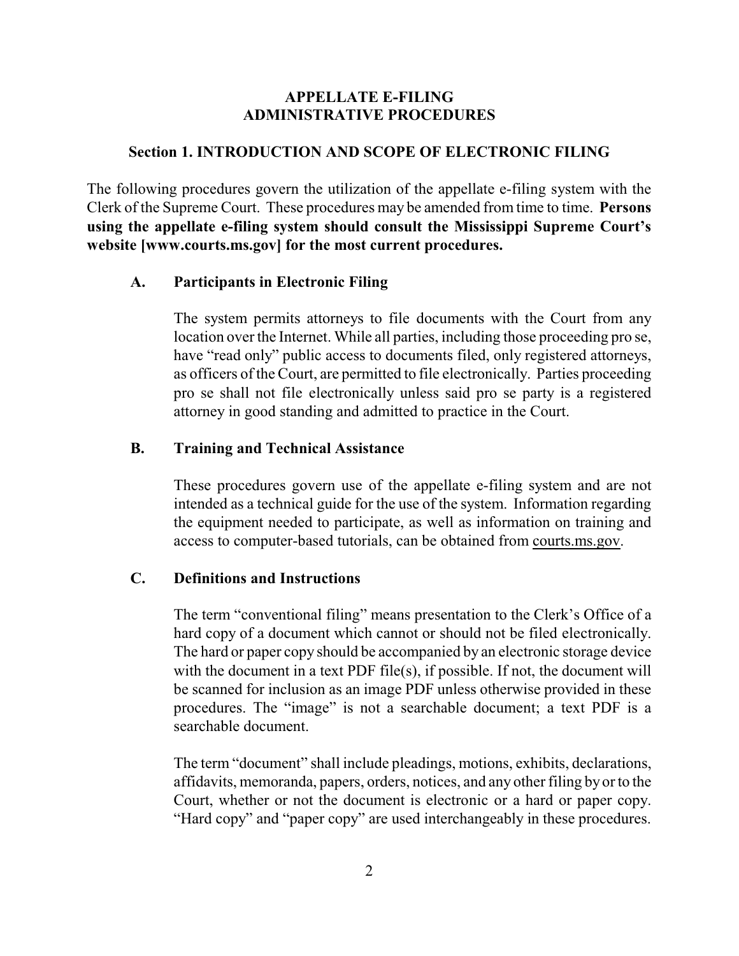### **APPELLATE E-FILING ADMINISTRATIVE PROCEDURES**

#### <span id="page-1-0"></span>**Section 1. INTRODUCTION AND SCOPE OF ELECTRONIC FILING**

The following procedures govern the utilization of the appellate e-filing system with the Clerk of the Supreme Court. These procedures may be amended from time to time. **Persons using the appellate e-filing system should consult the Mississippi Supreme Court's website [www.courts.ms.gov] for the most current procedures.**

#### <span id="page-1-1"></span>**A. Participants in Electronic Filing**

The system permits attorneys to file documents with the Court from any location over the Internet. While all parties, including those proceeding pro se, have "read only" public access to documents filed, only registered attorneys, as officers of the Court, are permitted to file electronically. Parties proceeding pro se shall not file electronically unless said pro se party is a registered attorney in good standing and admitted to practice in the Court.

### <span id="page-1-2"></span>**B. Training and Technical Assistance**

These procedures govern use of the appellate e-filing system and are not intended as a technical guide for the use of the system. Information regarding the equipment needed to participate, as well as information on training and access to computer-based tutorials, can be obtained from courts.ms.gov.

#### <span id="page-1-3"></span>**C. Definitions and Instructions**

The term "conventional filing" means presentation to the Clerk's Office of a hard copy of a document which cannot or should not be filed electronically. The hard or paper copy should be accompanied by an electronic storage device with the document in a text PDF file(s), if possible. If not, the document will be scanned for inclusion as an image PDF unless otherwise provided in these procedures. The "image" is not a searchable document; a text PDF is a searchable document.

The term "document" shall include pleadings, motions, exhibits, declarations, affidavits, memoranda, papers, orders, notices, and any other filing by or to the Court, whether or not the document is electronic or a hard or paper copy. "Hard copy" and "paper copy" are used interchangeably in these procedures.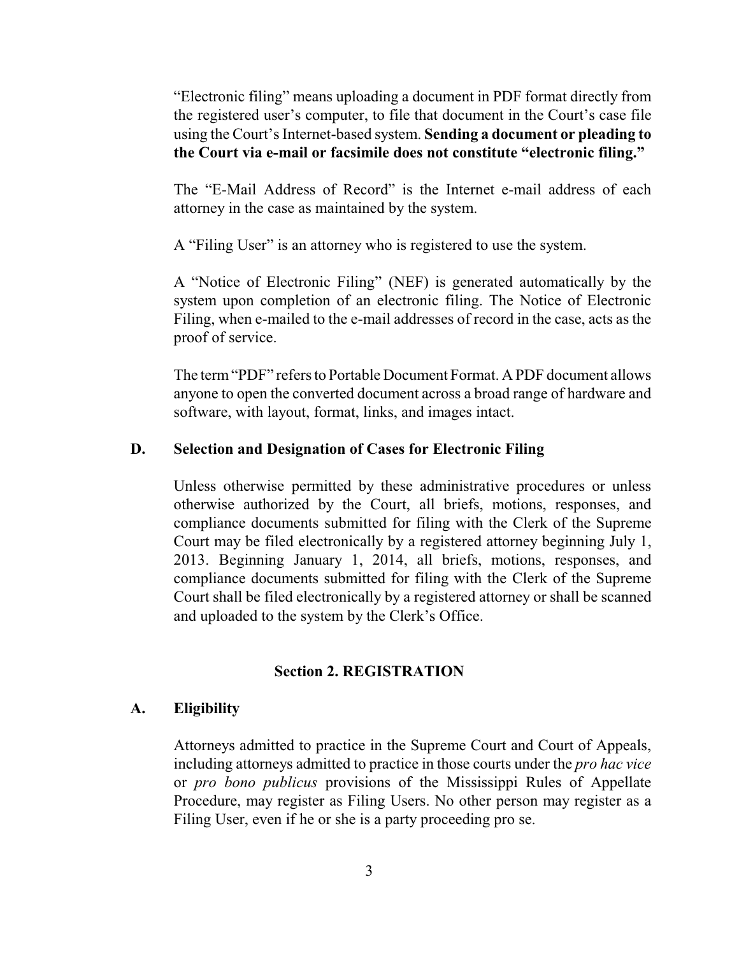"Electronic filing" means uploading a document in PDF format directly from the registered user's computer, to file that document in the Court's case file using the Court's Internet-based system. **Sending a document or pleading to the Court via e-mail or facsimile does not constitute "electronic filing."**

The "E-Mail Address of Record" is the Internet e-mail address of each attorney in the case as maintained by the system.

A "Filing User" is an attorney who is registered to use the system.

A "Notice of Electronic Filing" (NEF) is generated automatically by the system upon completion of an electronic filing. The Notice of Electronic Filing, when e-mailed to the e-mail addresses of record in the case, acts as the proof of service.

The term"PDF" refers to Portable Document Format. A PDF document allows anyone to open the converted document across a broad range of hardware and software, with layout, format, links, and images intact.

### <span id="page-2-0"></span>**D. Selection and Designation of Cases for Electronic Filing**

Unless otherwise permitted by these administrative procedures or unless otherwise authorized by the Court, all briefs, motions, responses, and compliance documents submitted for filing with the Clerk of the Supreme Court may be filed electronically by a registered attorney beginning July 1, 2013. Beginning January 1, 2014, all briefs, motions, responses, and compliance documents submitted for filing with the Clerk of the Supreme Court shall be filed electronically by a registered attorney or shall be scanned and uploaded to the system by the Clerk's Office.

### <span id="page-2-1"></span>**Section 2. REGISTRATION**

### <span id="page-2-2"></span>**A. Eligibility**

Attorneys admitted to practice in the Supreme Court and Court of Appeals, including attorneys admitted to practice in those courts under the *pro hac vice* or *pro bono publicus* provisions of the Mississippi Rules of Appellate Procedure, may register as Filing Users. No other person may register as a Filing User, even if he or she is a party proceeding pro se.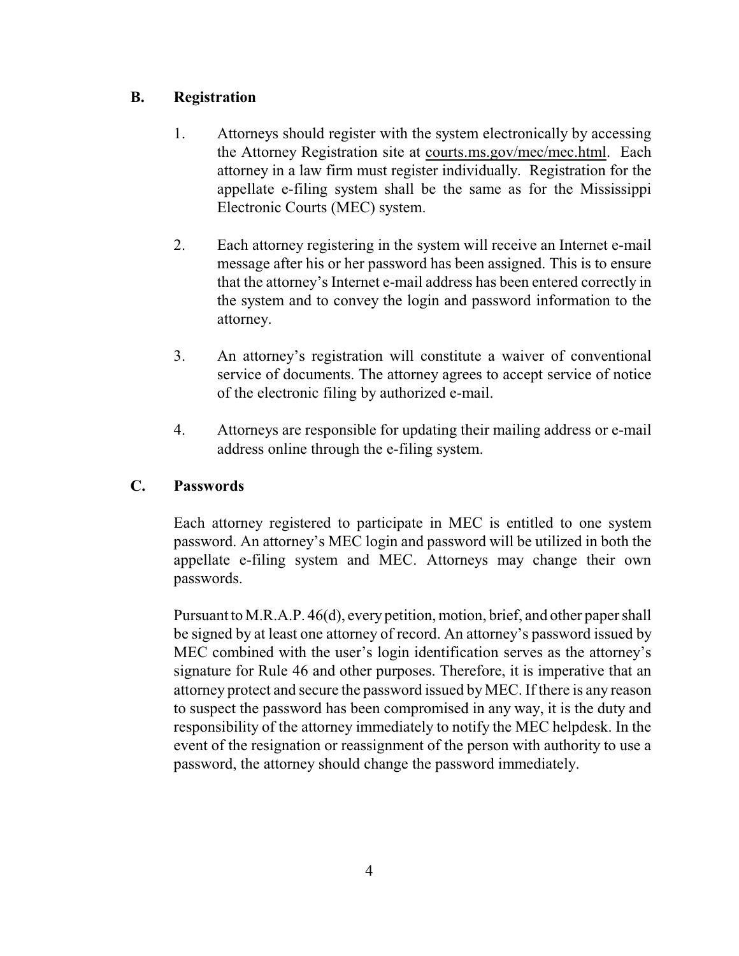### <span id="page-3-0"></span>**B. Registration**

- 1. Attorneys should register with the system electronically by accessing the Attorney Registration site at courts.ms.gov/mec/mec.html. Each attorney in a law firm must register individually. Registration for the appellate e-filing system shall be the same as for the Mississippi Electronic Courts (MEC) system.
- 2. Each attorney registering in the system will receive an Internet e-mail message after his or her password has been assigned. This is to ensure that the attorney's Internet e-mail address has been entered correctly in the system and to convey the login and password information to the attorney.
- 3. An attorney's registration will constitute a waiver of conventional service of documents. The attorney agrees to accept service of notice of the electronic filing by authorized e-mail.
- 4. Attorneys are responsible for updating their mailing address or e-mail address online through the e-filing system.

## <span id="page-3-1"></span>**C. Passwords**

Each attorney registered to participate in MEC is entitled to one system password. An attorney's MEC login and password will be utilized in both the appellate e-filing system and MEC. Attorneys may change their own passwords.

Pursuant to M.R.A.P. 46(d), every petition, motion, brief, and other paper shall be signed by at least one attorney of record. An attorney's password issued by MEC combined with the user's login identification serves as the attorney's signature for Rule 46 and other purposes. Therefore, it is imperative that an attorney protect and secure the password issued byMEC. If there is any reason to suspect the password has been compromised in any way, it is the duty and responsibility of the attorney immediately to notify the MEC helpdesk. In the event of the resignation or reassignment of the person with authority to use a password, the attorney should change the password immediately.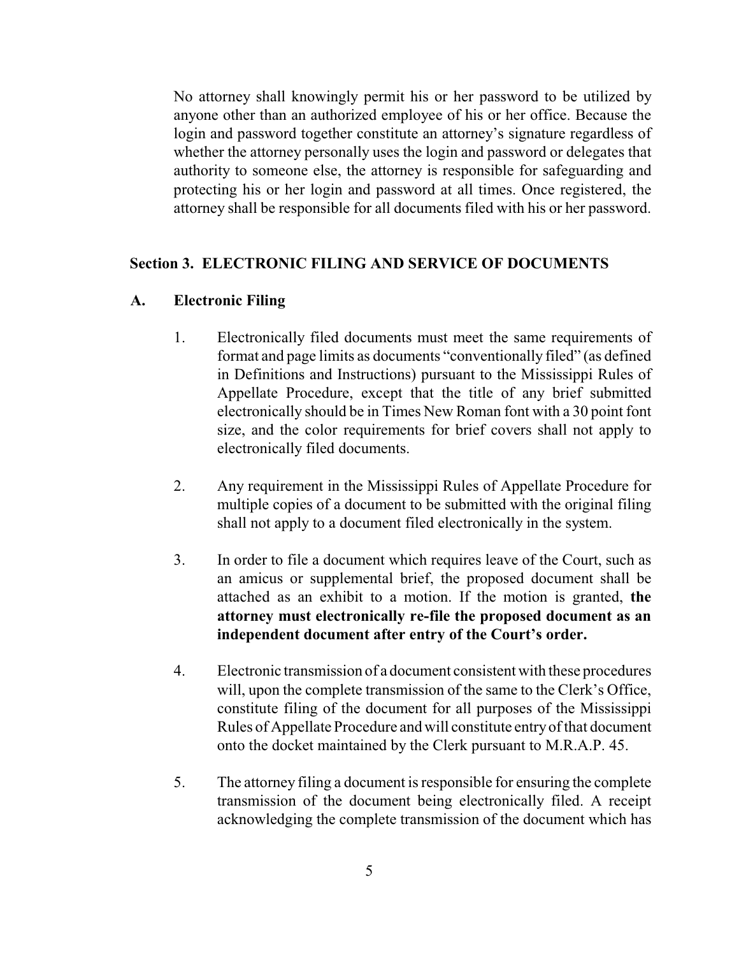No attorney shall knowingly permit his or her password to be utilized by anyone other than an authorized employee of his or her office. Because the login and password together constitute an attorney's signature regardless of whether the attorney personally uses the login and password or delegates that authority to someone else, the attorney is responsible for safeguarding and protecting his or her login and password at all times. Once registered, the attorney shall be responsible for all documents filed with his or her password.

#### <span id="page-4-0"></span>**Section 3. ELECTRONIC FILING AND SERVICE OF DOCUMENTS**

#### <span id="page-4-1"></span>**A. Electronic Filing**

- 1. Electronically filed documents must meet the same requirements of format and page limits as documents "conventionally filed" (as defined in Definitions and Instructions) pursuant to the Mississippi Rules of Appellate Procedure, except that the title of any brief submitted electronically should be in Times New Roman font with a 30 point font size, and the color requirements for brief covers shall not apply to electronically filed documents.
- 2. Any requirement in the Mississippi Rules of Appellate Procedure for multiple copies of a document to be submitted with the original filing shall not apply to a document filed electronically in the system.
- 3. In order to file a document which requires leave of the Court, such as an amicus or supplemental brief, the proposed document shall be attached as an exhibit to a motion. If the motion is granted, **the attorney must electronically re-file the proposed document as an independent document after entry of the Court's order.**
- 4. Electronic transmission of a document consistent with these procedures will, upon the complete transmission of the same to the Clerk's Office, constitute filing of the document for all purposes of the Mississippi Rules of Appellate Procedure and will constitute entryof that document onto the docket maintained by the Clerk pursuant to M.R.A.P. 45.
- 5. The attorney filing a document is responsible for ensuring the complete transmission of the document being electronically filed. A receipt acknowledging the complete transmission of the document which has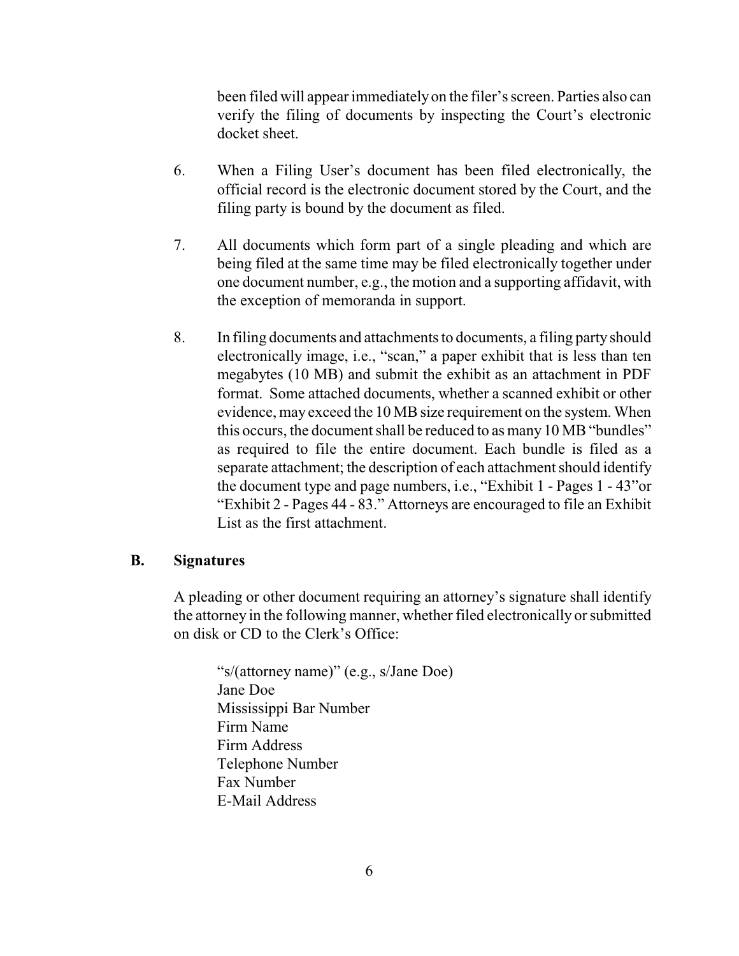been filed will appear immediatelyon the filer's screen. Parties also can verify the filing of documents by inspecting the Court's electronic docket sheet.

- 6. When a Filing User's document has been filed electronically, the official record is the electronic document stored by the Court, and the filing party is bound by the document as filed.
- 7. All documents which form part of a single pleading and which are being filed at the same time may be filed electronically together under one document number, e.g., the motion and a supporting affidavit, with the exception of memoranda in support.
- 8. In filing documents and attachments to documents, a filing party should electronically image, i.e., "scan," a paper exhibit that is less than ten megabytes (10 MB) and submit the exhibit as an attachment in PDF format. Some attached documents, whether a scanned exhibit or other evidence, may exceed the 10 MB size requirement on the system. When this occurs, the document shall be reduced to as many 10 MB "bundles" as required to file the entire document. Each bundle is filed as a separate attachment; the description of each attachment should identify the document type and page numbers, i.e., "Exhibit 1 - Pages 1 - 43"or "Exhibit 2 - Pages 44 - 83." Attorneys are encouraged to file an Exhibit List as the first attachment.

#### <span id="page-5-0"></span>**B. Signatures**

A pleading or other document requiring an attorney's signature shall identify the attorney in the following manner, whether filed electronically or submitted on disk or CD to the Clerk's Office:

"s/(attorney name)" (e.g., s/Jane Doe) Jane Doe Mississippi Bar Number Firm Name Firm Address Telephone Number Fax Number E-Mail Address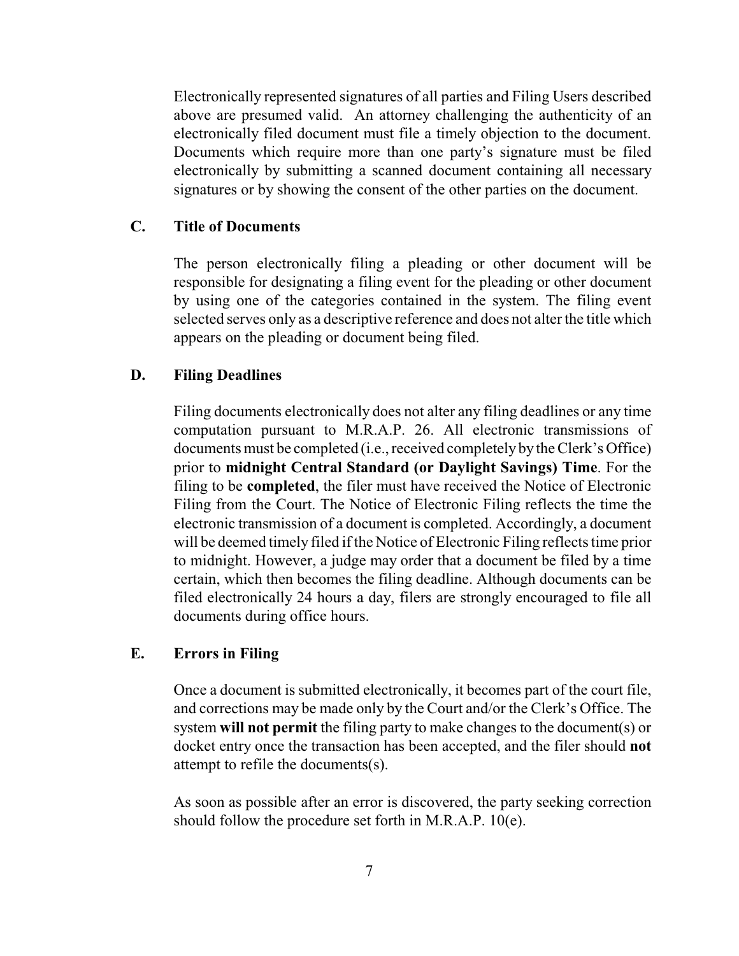Electronically represented signatures of all parties and Filing Users described above are presumed valid. An attorney challenging the authenticity of an electronically filed document must file a timely objection to the document. Documents which require more than one party's signature must be filed electronically by submitting a scanned document containing all necessary signatures or by showing the consent of the other parties on the document.

#### <span id="page-6-0"></span>**C. Title of Documents**

The person electronically filing a pleading or other document will be responsible for designating a filing event for the pleading or other document by using one of the categories contained in the system. The filing event selected serves only as a descriptive reference and does not alter the title which appears on the pleading or document being filed.

### <span id="page-6-1"></span>**D. Filing Deadlines**

Filing documents electronically does not alter any filing deadlines or any time computation pursuant to M.R.A.P. 26. All electronic transmissions of documents must be completed (i.e., received completely by the Clerk's Office) prior to **midnight Central Standard (or Daylight Savings) Time**. For the filing to be **completed**, the filer must have received the Notice of Electronic Filing from the Court. The Notice of Electronic Filing reflects the time the electronic transmission of a document is completed. Accordingly, a document will be deemed timely filed if the Notice of Electronic Filing reflects time prior to midnight. However, a judge may order that a document be filed by a time certain, which then becomes the filing deadline. Although documents can be filed electronically 24 hours a day, filers are strongly encouraged to file all documents during office hours.

### <span id="page-6-2"></span>**E. Errors in Filing**

Once a document is submitted electronically, it becomes part of the court file, and corrections may be made only by the Court and/or the Clerk's Office. The system **will not permit** the filing party to make changes to the document(s) or docket entry once the transaction has been accepted, and the filer should **not** attempt to refile the documents(s).

As soon as possible after an error is discovered, the party seeking correction should follow the procedure set forth in M.R.A.P. 10(e).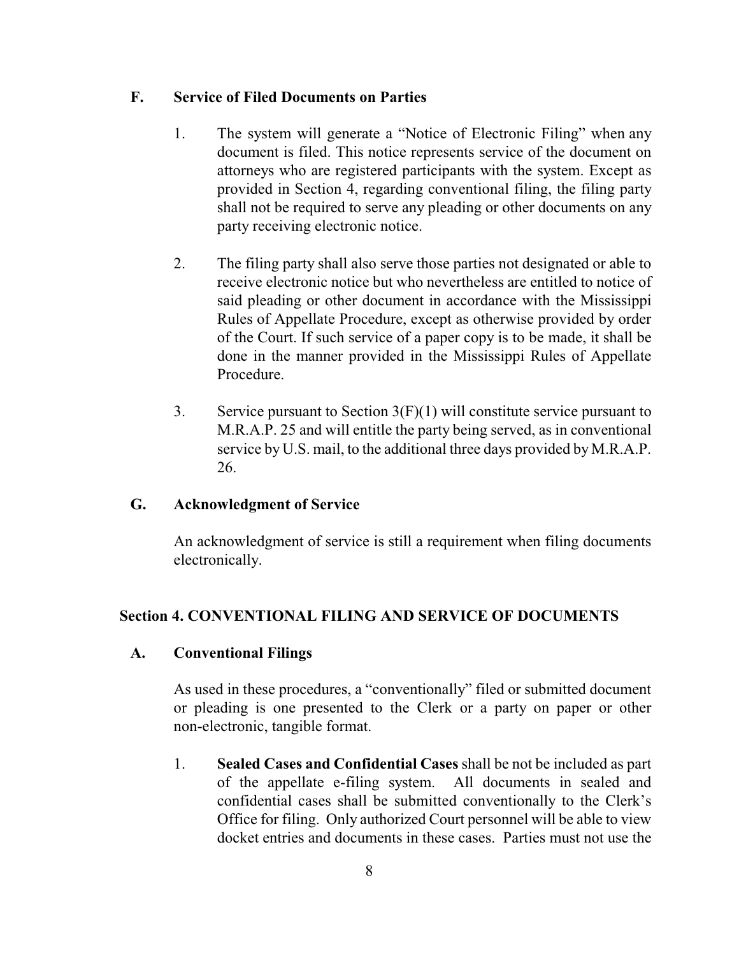### <span id="page-7-0"></span>**F. Service of Filed Documents on Parties**

- 1. The system will generate a "Notice of Electronic Filing" when any document is filed. This notice represents service of the document on attorneys who are registered participants with the system. Except as provided in Section 4, regarding conventional filing, the filing party shall not be required to serve any pleading or other documents on any party receiving electronic notice.
- 2. The filing party shall also serve those parties not designated or able to receive electronic notice but who nevertheless are entitled to notice of said pleading or other document in accordance with the Mississippi Rules of Appellate Procedure, except as otherwise provided by order of the Court. If such service of a paper copy is to be made, it shall be done in the manner provided in the Mississippi Rules of Appellate Procedure.
- 3. Service pursuant to Section  $3(F)(1)$  will constitute service pursuant to M.R.A.P. 25 and will entitle the party being served, as in conventional service by U.S. mail, to the additional three days provided by M.R.A.P. 26.

## <span id="page-7-1"></span>**G. Acknowledgment of Service**

An acknowledgment of service is still a requirement when filing documents electronically.

## <span id="page-7-2"></span>**Section 4. CONVENTIONAL FILING AND SERVICE OF DOCUMENTS**

### <span id="page-7-3"></span>**A. Conventional Filings**

As used in these procedures, a "conventionally" filed or submitted document or pleading is one presented to the Clerk or a party on paper or other non-electronic, tangible format.

<span id="page-7-4"></span>1. **Sealed Cases and Confidential Cases** shall be not be included as part of the appellate e-filing system. All documents in sealed and confidential cases shall be submitted conventionally to the Clerk's Office for filing. Only authorized Court personnel will be able to view docket entries and documents in these cases. Parties must not use the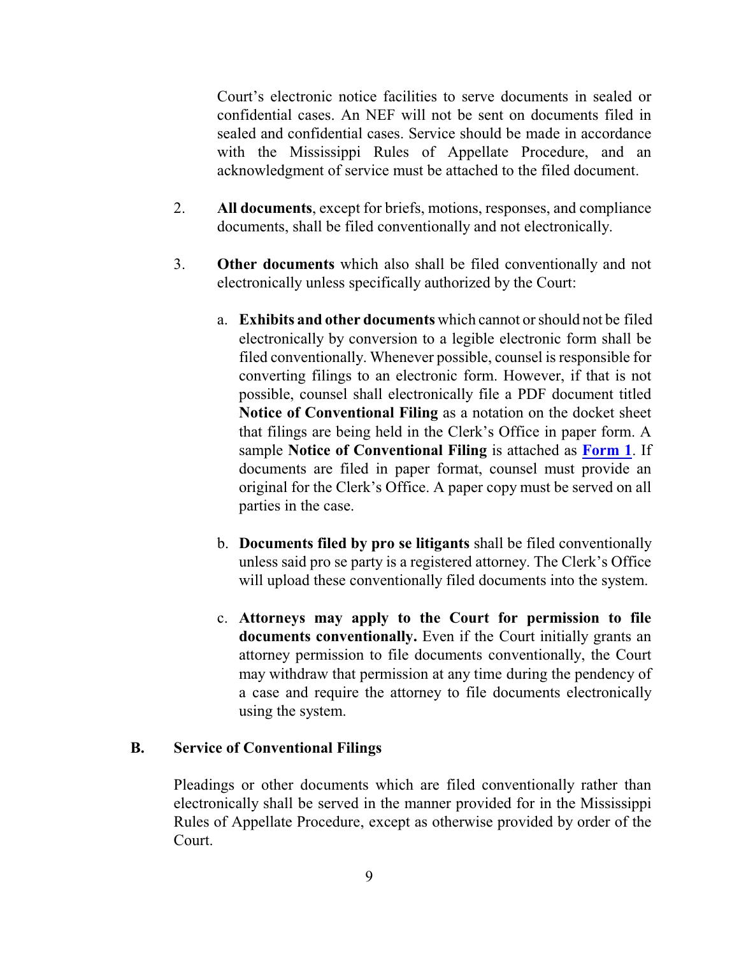Court's electronic notice facilities to serve documents in sealed or confidential cases. An NEF will not be sent on documents filed in sealed and confidential cases. Service should be made in accordance with the Mississippi Rules of Appellate Procedure, and an acknowledgment of service must be attached to the filed document.

- <span id="page-8-0"></span>2. **All documents**, except for briefs, motions, responses, and compliance documents, shall be filed conventionally and not electronically.
- <span id="page-8-1"></span>3. **Other documents** which also shall be filed conventionally and not electronically unless specifically authorized by the Court:
	- a. **Exhibits and other documents** which cannot or should not be filed electronically by conversion to a legible electronic form shall be filed conventionally. Whenever possible, counsel is responsible for converting filings to an electronic form. However, if that is not possible, counsel shall electronically file a PDF document titled **Notice of Conventional Filing** as a notation on the docket sheet that filings are being held in the Clerk's Office in paper form. A sample **Notice of Conventional Filing** is attached as **[Form](#page-12-0) 1**. If documents are filed in paper format, counsel must provide an original for the Clerk's Office. A paper copy must be served on all parties in the case.
	- b. **Documents filed by pro se litigants** shall be filed conventionally unless said pro se party is a registered attorney. The Clerk's Office will upload these conventionally filed documents into the system.
	- c. **Attorneys may apply to the Court for permission to file documents conventionally.** Even if the Court initially grants an attorney permission to file documents conventionally, the Court may withdraw that permission at any time during the pendency of a case and require the attorney to file documents electronically using the system.

#### <span id="page-8-2"></span>**B. Service of Conventional Filings**

Pleadings or other documents which are filed conventionally rather than electronically shall be served in the manner provided for in the Mississippi Rules of Appellate Procedure, except as otherwise provided by order of the Court.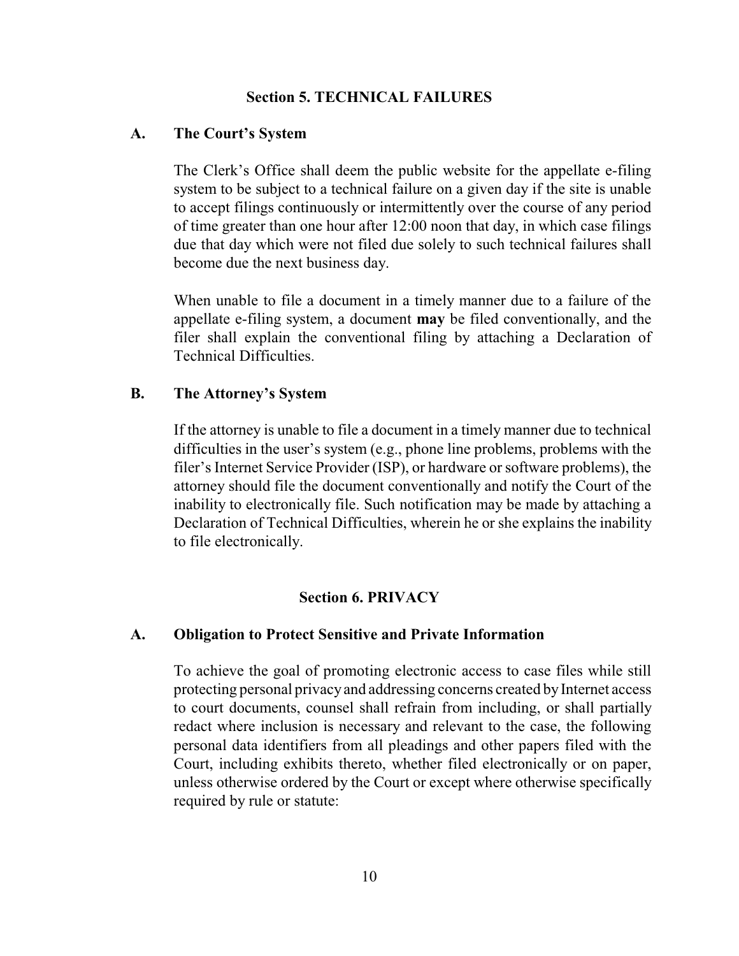### <span id="page-9-0"></span>**Section 5. TECHNICAL FAILURES**

#### <span id="page-9-1"></span>**A. The Court's System**

The Clerk's Office shall deem the public website for the appellate e-filing system to be subject to a technical failure on a given day if the site is unable to accept filings continuously or intermittently over the course of any period of time greater than one hour after 12:00 noon that day, in which case filings due that day which were not filed due solely to such technical failures shall become due the next business day.

When unable to file a document in a timely manner due to a failure of the appellate e-filing system, a document **may** be filed conventionally, and the filer shall explain the conventional filing by attaching a Declaration of Technical Difficulties.

### <span id="page-9-2"></span>**B. The Attorney's System**

If the attorney is unable to file a document in a timely manner due to technical difficulties in the user's system (e.g., phone line problems, problems with the filer's Internet Service Provider (ISP), or hardware or software problems), the attorney should file the document conventionally and notify the Court of the inability to electronically file. Such notification may be made by attaching a Declaration of Technical Difficulties, wherein he or she explains the inability to file electronically.

### <span id="page-9-3"></span>**Section 6. PRIVACY**

### <span id="page-9-4"></span>**A. Obligation to Protect Sensitive and Private Information**

To achieve the goal of promoting electronic access to case files while still protecting personal privacyand addressing concerns created byInternet access to court documents, counsel shall refrain from including, or shall partially redact where inclusion is necessary and relevant to the case, the following personal data identifiers from all pleadings and other papers filed with the Court, including exhibits thereto, whether filed electronically or on paper, unless otherwise ordered by the Court or except where otherwise specifically required by rule or statute: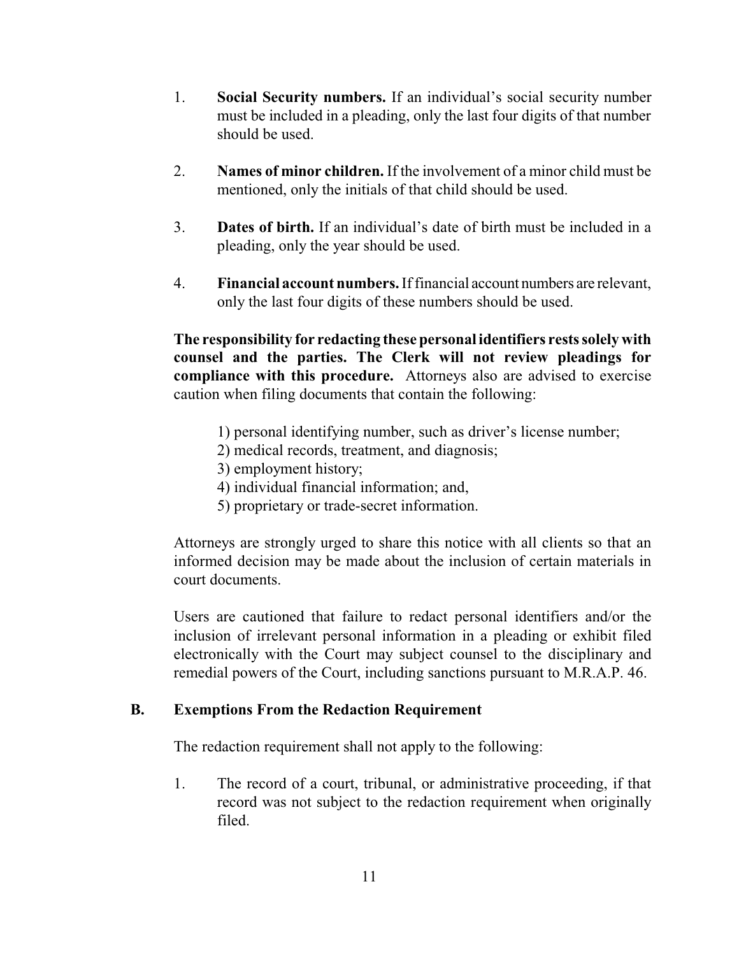- 1. **Social Security numbers.** If an individual's social security number must be included in a pleading, only the last four digits of that number should be used.
- 2. **Names of minor children.** If the involvement of a minor child must be mentioned, only the initials of that child should be used.
- 3. **Dates of birth.** If an individual's date of birth must be included in a pleading, only the year should be used.
- 4. **Financial account numbers.** Iffinancial account numbers are relevant, only the last four digits of these numbers should be used.

**The responsibility for redacting these personal identifiers rests solely with counsel and the parties. The Clerk will not review pleadings for compliance with this procedure.** Attorneys also are advised to exercise caution when filing documents that contain the following:

- 1) personal identifying number, such as driver's license number;
- 2) medical records, treatment, and diagnosis;
- 3) employment history;
- 4) individual financial information; and,
- 5) proprietary or trade-secret information.

Attorneys are strongly urged to share this notice with all clients so that an informed decision may be made about the inclusion of certain materials in court documents.

Users are cautioned that failure to redact personal identifiers and/or the inclusion of irrelevant personal information in a pleading or exhibit filed electronically with the Court may subject counsel to the disciplinary and remedial powers of the Court, including sanctions pursuant to M.R.A.P. 46.

#### <span id="page-10-0"></span>**B. Exemptions From the Redaction Requirement**

The redaction requirement shall not apply to the following:

1. The record of a court, tribunal, or administrative proceeding, if that record was not subject to the redaction requirement when originally filed.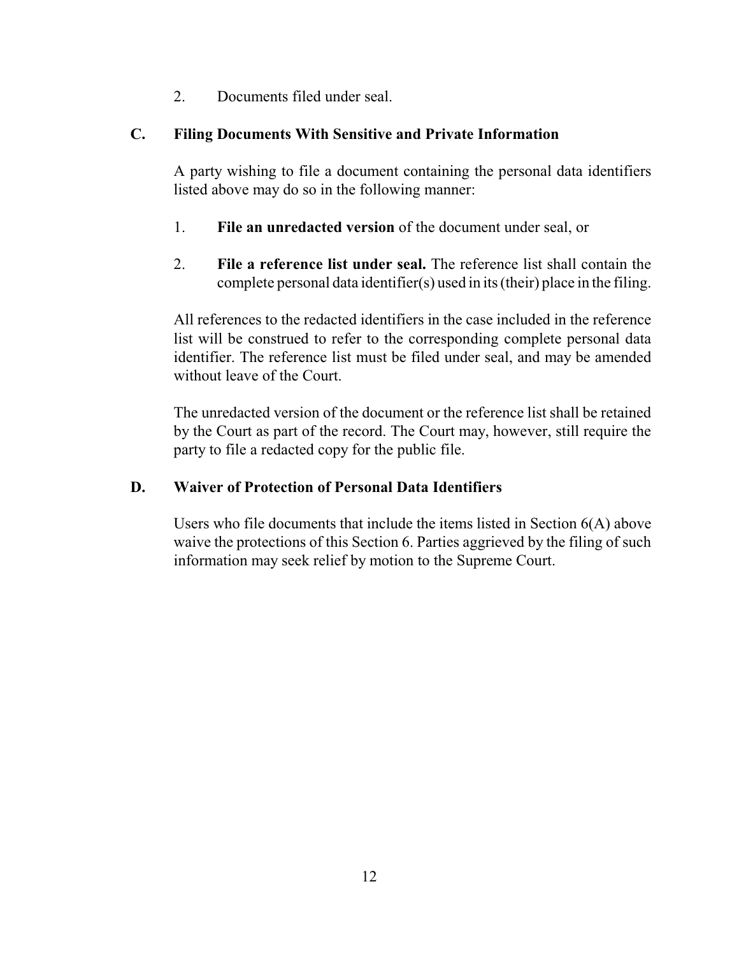2. Documents filed under seal.

## <span id="page-11-0"></span>**C. Filing Documents With Sensitive and Private Information**

A party wishing to file a document containing the personal data identifiers listed above may do so in the following manner:

- 1. **File an unredacted version** of the document under seal, or
- 2. **File a reference list under seal.** The reference list shall contain the complete personal data identifier(s) used in its (their) place in the filing.

All references to the redacted identifiers in the case included in the reference list will be construed to refer to the corresponding complete personal data identifier. The reference list must be filed under seal, and may be amended without leave of the Court.

The unredacted version of the document or the reference list shall be retained by the Court as part of the record. The Court may, however, still require the party to file a redacted copy for the public file.

## <span id="page-11-1"></span>**D. Waiver of Protection of Personal Data Identifiers**

Users who file documents that include the items listed in Section 6(A) above waive the protections of this Section 6. Parties aggrieved by the filing of such information may seek relief by motion to the Supreme Court.